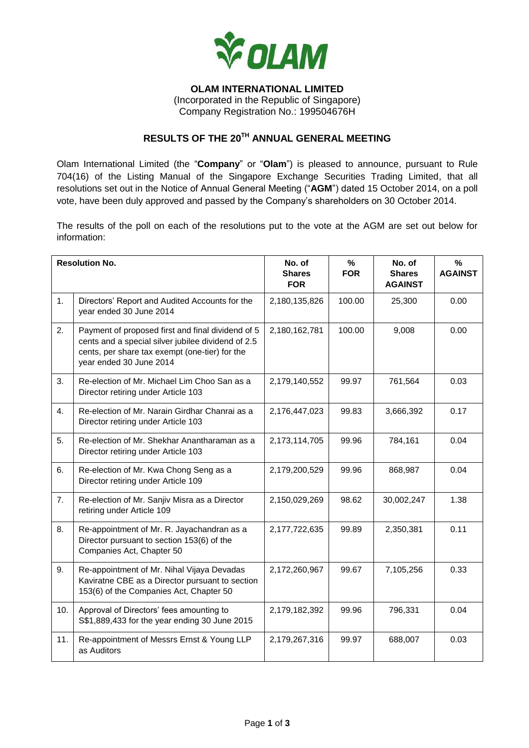

## **OLAM INTERNATIONAL LIMITED**

(Incorporated in the Republic of Singapore) Company Registration No.: 199504676H

# **RESULTS OF THE 20TH ANNUAL GENERAL MEETING**

Olam International Limited (the "**Company**" or "**Olam**") is pleased to announce, pursuant to Rule 704(16) of the Listing Manual of the Singapore Exchange Securities Trading Limited, that all resolutions set out in the Notice of Annual General Meeting ("**AGM**") dated 15 October 2014, on a poll vote, have been duly approved and passed by the Company's shareholders on 30 October 2014.

The results of the poll on each of the resolutions put to the vote at the AGM are set out below for information:

| <b>Resolution No.</b> |                                                                                                                                                                                      | No. of<br><b>Shares</b><br><b>FOR</b> | %<br><b>FOR</b> | No. of<br><b>Shares</b><br><b>AGAINST</b> | $\frac{9}{6}$<br><b>AGAINST</b> |
|-----------------------|--------------------------------------------------------------------------------------------------------------------------------------------------------------------------------------|---------------------------------------|-----------------|-------------------------------------------|---------------------------------|
| 1.                    | Directors' Report and Audited Accounts for the<br>year ended 30 June 2014                                                                                                            | 2,180,135,826                         | 100.00          | 25,300                                    | 0.00                            |
| 2.                    | Payment of proposed first and final dividend of 5<br>cents and a special silver jubilee dividend of 2.5<br>cents, per share tax exempt (one-tier) for the<br>year ended 30 June 2014 | 2,180,162,781                         | 100.00          | 9,008                                     | 0.00                            |
| 3.                    | Re-election of Mr. Michael Lim Choo San as a<br>Director retiring under Article 103                                                                                                  | 2,179,140,552                         | 99.97           | 761,564                                   | 0.03                            |
| 4.                    | Re-election of Mr. Narain Girdhar Chanrai as a<br>Director retiring under Article 103                                                                                                | 2,176,447,023                         | 99.83           | 3,666,392                                 | 0.17                            |
| 5.                    | Re-election of Mr. Shekhar Anantharaman as a<br>Director retiring under Article 103                                                                                                  | 2,173,114,705                         | 99.96           | 784,161                                   | 0.04                            |
| 6.                    | Re-election of Mr. Kwa Chong Seng as a<br>Director retiring under Article 109                                                                                                        | 2,179,200,529                         | 99.96           | 868,987                                   | 0.04                            |
| $\overline{7}$ .      | Re-election of Mr. Sanjiv Misra as a Director<br>retiring under Article 109                                                                                                          | 2,150,029,269                         | 98.62           | 30,002,247                                | 1.38                            |
| 8.                    | Re-appointment of Mr. R. Jayachandran as a<br>Director pursuant to section 153(6) of the<br>Companies Act, Chapter 50                                                                | 2,177,722,635                         | 99.89           | 2,350,381                                 | 0.11                            |
| 9.                    | Re-appointment of Mr. Nihal Vijaya Devadas<br>Kaviratne CBE as a Director pursuant to section<br>153(6) of the Companies Act, Chapter 50                                             | 2,172,260,967                         | 99.67           | 7,105,256                                 | 0.33                            |
| 10.                   | Approval of Directors' fees amounting to<br>S\$1,889,433 for the year ending 30 June 2015                                                                                            | 2,179,182,392                         | 99.96           | 796,331                                   | 0.04                            |
| 11.                   | Re-appointment of Messrs Ernst & Young LLP<br>as Auditors                                                                                                                            | 2,179,267,316                         | 99.97           | 688,007                                   | 0.03                            |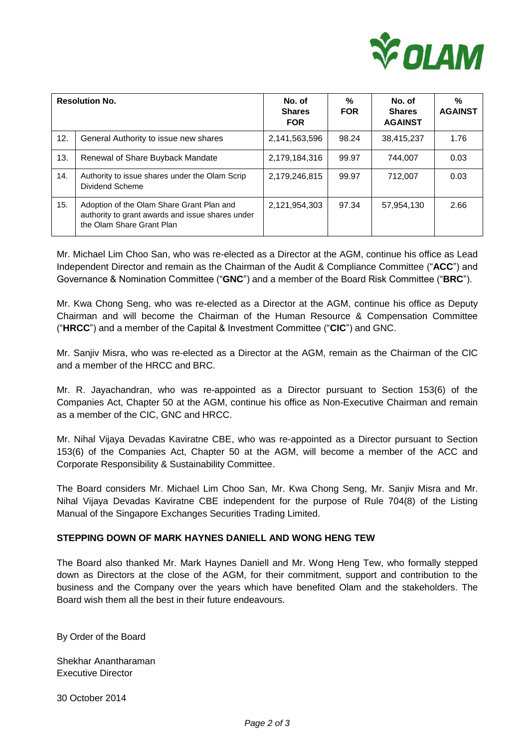

| <b>Resolution No.</b> |                                                                                                                            | No. of<br><b>Shares</b><br><b>FOR</b> | $\%$<br><b>FOR</b> | No. of<br><b>Shares</b><br><b>AGAINST</b> | %<br><b>AGAINST</b> |
|-----------------------|----------------------------------------------------------------------------------------------------------------------------|---------------------------------------|--------------------|-------------------------------------------|---------------------|
| 12.                   | General Authority to issue new shares                                                                                      | 2,141,563,596                         | 98.24              | 38,415,237                                | 1.76                |
| 13.                   | Renewal of Share Buyback Mandate                                                                                           | 2,179,184,316                         | 99.97              | 744.007                                   | 0.03                |
| 14.                   | Authority to issue shares under the Olam Scrip<br>Dividend Scheme                                                          | 2,179,246,815                         | 99.97              | 712.007                                   | 0.03                |
| 15.                   | Adoption of the Olam Share Grant Plan and<br>authority to grant awards and issue shares under<br>the Olam Share Grant Plan | 2,121,954,303                         | 97.34              | 57,954,130                                | 2.66                |

Mr. Michael Lim Choo San, who was re-elected as a Director at the AGM, continue his office as Lead Independent Director and remain as the Chairman of the Audit & Compliance Committee ("**ACC**") and Governance & Nomination Committee ("**GNC**") and a member of the Board Risk Committee ("**BRC**").

Mr. Kwa Chong Seng, who was re-elected as a Director at the AGM, continue his office as Deputy Chairman and will become the Chairman of the Human Resource & Compensation Committee ("**HRCC**") and a member of the Capital & Investment Committee ("**CIC**") and GNC.

Mr. Sanjiv Misra, who was re-elected as a Director at the AGM, remain as the Chairman of the CIC and a member of the HRCC and BRC.

Mr. R. Jayachandran, who was re-appointed as a Director pursuant to Section 153(6) of the Companies Act, Chapter 50 at the AGM, continue his office as Non-Executive Chairman and remain as a member of the CIC, GNC and HRCC.

Mr. Nihal Vijaya Devadas Kaviratne CBE, who was re-appointed as a Director pursuant to Section 153(6) of the Companies Act, Chapter 50 at the AGM, will become a member of the ACC and Corporate Responsibility & Sustainability Committee.

The Board considers Mr. Michael Lim Choo San, Mr. Kwa Chong Seng, Mr. Sanjiv Misra and Mr. Nihal Vijaya Devadas Kaviratne CBE independent for the purpose of Rule 704(8) of the Listing Manual of the Singapore Exchanges Securities Trading Limited.

#### **STEPPING DOWN OF MARK HAYNES DANIELL AND WONG HENG TEW**

The Board also thanked Mr. Mark Haynes Daniell and Mr. Wong Heng Tew, who formally stepped down as Directors at the close of the AGM, for their commitment, support and contribution to the business and the Company over the years which have benefited Olam and the stakeholders. The Board wish them all the best in their future endeavours.

By Order of the Board

Shekhar Anantharaman Executive Director

30 October 2014